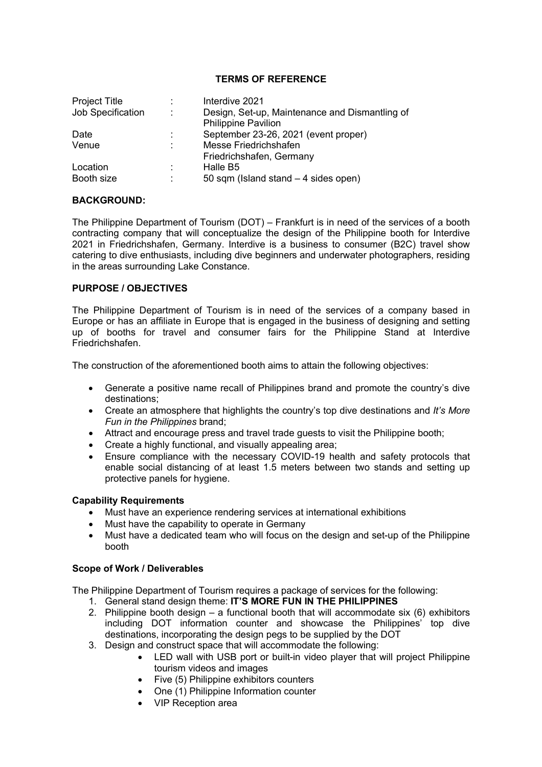## **TERMS OF REFERENCE**

| <b>Project Title</b> |        | Interdive 2021                                 |
|----------------------|--------|------------------------------------------------|
| Job Specification    | ÷      | Design, Set-up, Maintenance and Dismantling of |
|                      |        | <b>Philippine Pavilion</b>                     |
| Date                 | t.     | September 23-26, 2021 (event proper)           |
| Venue                | $\sim$ | Messe Friedrichshafen                          |
|                      |        | Friedrichshafen, Germany                       |
| Location             | ÷      | Halle B <sub>5</sub>                           |
| Booth size           | ÷      | 50 sqm (Island stand $-4$ sides open)          |

#### **BACKGROUND:**

The Philippine Department of Tourism (DOT) – Frankfurt is in need of the services of a booth contracting company that will conceptualize the design of the Philippine booth for Interdive 2021 in Friedrichshafen, Germany. Interdive is a business to consumer (B2C) travel show catering to dive enthusiasts, including dive beginners and underwater photographers, residing in the areas surrounding Lake Constance.

## **PURPOSE / OBJECTIVES**

The Philippine Department of Tourism is in need of the services of a company based in Europe or has an affiliate in Europe that is engaged in the business of designing and setting up of booths for travel and consumer fairs for the Philippine Stand at Interdive Friedrichshafen.

The construction of the aforementioned booth aims to attain the following objectives:

- Generate a positive name recall of Philippines brand and promote the country's dive destinations;
- Create an atmosphere that highlights the country's top dive destinations and *It's More Fun in the Philippines* brand;
- Attract and encourage press and travel trade guests to visit the Philippine booth;
- Create a highly functional, and visually appealing area:
- Ensure compliance with the necessary COVID-19 health and safety protocols that enable social distancing of at least 1.5 meters between two stands and setting up protective panels for hygiene.

## **Capability Requirements**

- Must have an experience rendering services at international exhibitions
- Must have the capability to operate in Germany
- Must have a dedicated team who will focus on the design and set-up of the Philippine booth

## **Scope of Work / Deliverables**

The Philippine Department of Tourism requires a package of services for the following:

- 1. General stand design theme: **IT'S MORE FUN IN THE PHILIPPINES**
- 2. Philippine booth design a functional booth that will accommodate six (6) exhibitors including DOT information counter and showcase the Philippines' top dive destinations, incorporating the design pegs to be supplied by the DOT
- 3. Design and construct space that will accommodate the following:
	- LED wall with USB port or built-in video player that will project Philippine tourism videos and images
	- Five (5) Philippine exhibitors counters
	- One (1) Philippine Information counter
	- VIP Reception area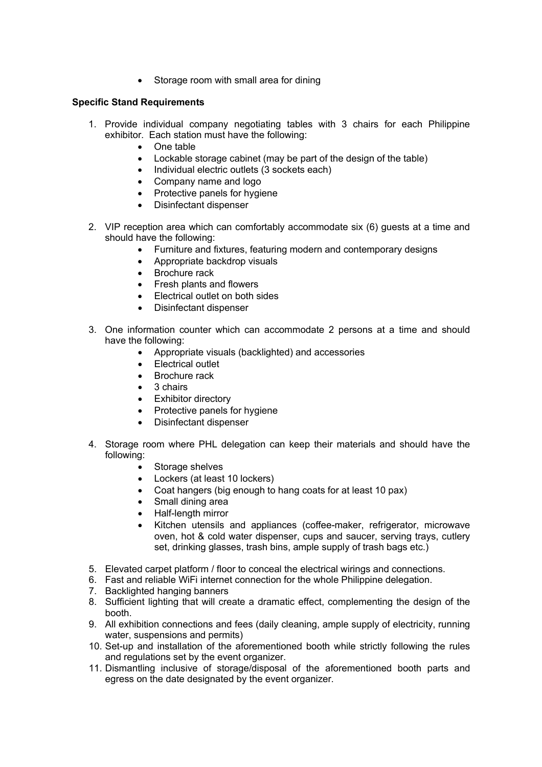Storage room with small area for dining

# **Specific Stand Requirements**

- 1. Provide individual company negotiating tables with 3 chairs for each Philippine exhibitor. Each station must have the following:
	- One table
	- Lockable storage cabinet (may be part of the design of the table)
	- Individual electric outlets (3 sockets each)
	- Company name and logo
	- Protective panels for hygiene
	- Disinfectant dispenser
- 2. VIP reception area which can comfortably accommodate six (6) guests at a time and should have the following:
	- Furniture and fixtures, featuring modern and contemporary designs
	- Appropriate backdrop visuals
	- Brochure rack
	- Fresh plants and flowers
	- Electrical outlet on both sides
	- Disinfectant dispenser
- 3. One information counter which can accommodate 2 persons at a time and should have the following:
	- Appropriate visuals (backlighted) and accessories
	- Electrical outlet
	- Brochure rack
	- 3 chairs
	- Exhibitor directory
	- Protective panels for hygiene
	- Disinfectant dispenser
- 4. Storage room where PHL delegation can keep their materials and should have the following:
	- Storage shelves
	- Lockers (at least 10 lockers)
	- Coat hangers (big enough to hang coats for at least 10 pax)
	- Small dining area
	- Half-length mirror
	- Kitchen utensils and appliances (coffee-maker, refrigerator, microwave oven, hot & cold water dispenser, cups and saucer, serving trays, cutlery set, drinking glasses, trash bins, ample supply of trash bags etc.)
- 5. Elevated carpet platform / floor to conceal the electrical wirings and connections.
- 6. Fast and reliable WiFi internet connection for the whole Philippine delegation.
- 7. Backlighted hanging banners
- 8. Sufficient lighting that will create a dramatic effect, complementing the design of the booth.
- 9. All exhibition connections and fees (daily cleaning, ample supply of electricity, running water, suspensions and permits)
- 10. Set-up and installation of the aforementioned booth while strictly following the rules and regulations set by the event organizer.
- 11. Dismantling inclusive of storage/disposal of the aforementioned booth parts and egress on the date designated by the event organizer.